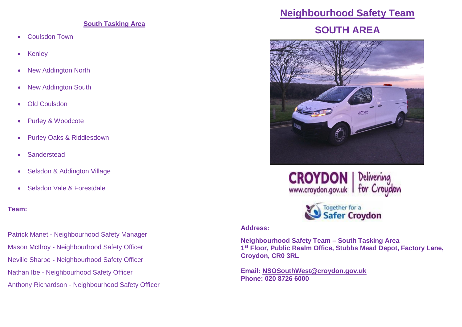#### **South Tasking Area**

- Coulsdon Town
- Kenley
- New Addington North
- New Addington South
- Old Coulsdon
- Purley & Woodcote
- Purley Oaks & Riddlesdown
- **•** Sanderstead
- Selsdon & Addington Village
- Selsdon Vale & Forestdale

### **Team:**

Patrick Manet - Neighbourhood Safety Manager Mason McIlroy - Neighbourhood Safety Officer Neville Sharpe **-** Neighbourhood Safety Officer Nathan Ibe - Neighbourhood Safety Officer Anthony Richardson - Neighbourhood Safety Officer

### **Neighbourhood Safety Team**

## **SOUTH AREA**







### **Address:**

**Neighbourhood Safety Team – South Tasking Area 1 st Floor, Public Realm Office, Stubbs Mead Depot, Factory Lane, Croydon, CR0 3RL**

**Email: NSOSouthWest@croydon.gov.uk Phone: 020 8726 6000**